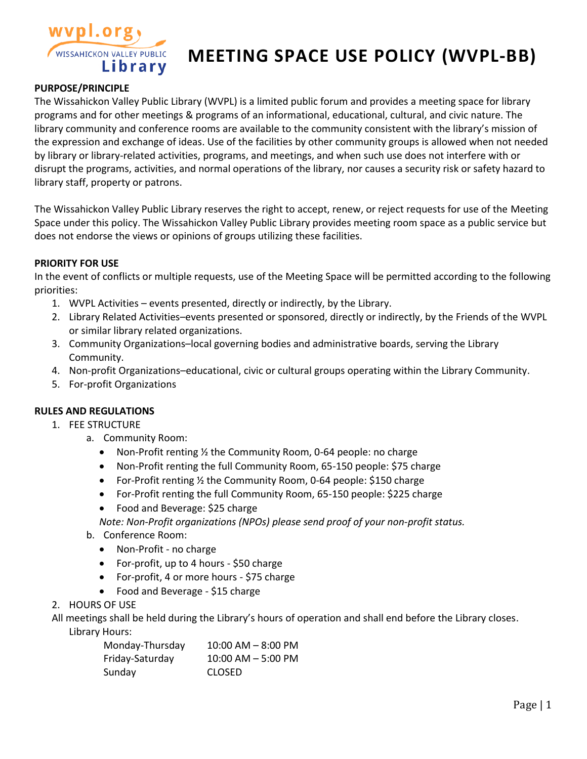

# **MEETING SPACE USE POLICY (WVPL-BB)**

#### **PURPOSE/PRINCIPLE**

The Wissahickon Valley Public Library (WVPL) is a limited public forum and provides a meeting space for library programs and for other meetings & programs of an informational, educational, cultural, and civic nature. The library community and conference rooms are available to the community consistent with the library's mission of the expression and exchange of ideas. Use of the facilities by other community groups is allowed when not needed by library or library-related activities, programs, and meetings, and when such use does not interfere with or disrupt the programs, activities, and normal operations of the library, nor causes a security risk or safety hazard to library staff, property or patrons.

The Wissahickon Valley Public Library reserves the right to accept, renew, or reject requests for use of the Meeting Space under this policy. The Wissahickon Valley Public Library provides meeting room space as a public service but does not endorse the views or opinions of groups utilizing these facilities.

#### **PRIORITY FOR USE**

In the event of conflicts or multiple requests, use of the Meeting Space will be permitted according to the following priorities:

- 1. WVPL Activities events presented, directly or indirectly, by the Library.
- 2. Library Related Activities–events presented or sponsored, directly or indirectly, by the Friends of the WVPL or similar library related organizations.
- 3. Community Organizations–local governing bodies and administrative boards, serving the Library Community.
- 4. Non-profit Organizations–educational, civic or cultural groups operating within the Library Community.
- 5. For-profit Organizations

#### **RULES AND REGULATIONS**

- 1. FEE STRUCTURE
	- a. Community Room:
		- Non-Profit renting ½ the Community Room, 0-64 people: no charge
		- Non-Profit renting the full Community Room, 65-150 people: \$75 charge
		- For-Profit renting ½ the Community Room, 0-64 people: \$150 charge
		- For-Profit renting the full Community Room, 65-150 people: \$225 charge
		- Food and Beverage: \$25 charge
		- *Note: Non-Profit organizations (NPOs) please send proof of your non-profit status.*
	- b. Conference Room:
		- Non-Profit no charge
		- For-profit, up to 4 hours \$50 charge
		- For-profit, 4 or more hours \$75 charge
		- Food and Beverage \$15 charge
- 2. HOURS OF USE

All meetings shall be held during the Library's hours of operation and shall end before the Library closes. Library Hours:

| Monday-Thursday | $10:00$ AM $-$ 8:00 PM |
|-----------------|------------------------|
| Friday-Saturday | $10:00$ AM $-$ 5:00 PM |
| Sunday          | <b>CLOSED</b>          |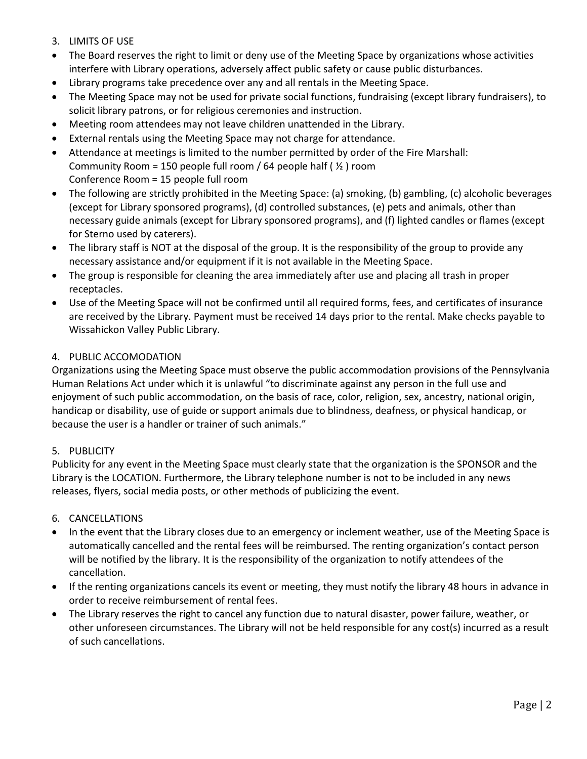- 3. LIMITS OF USE
- The Board reserves the right to limit or deny use of the Meeting Space by organizations whose activities interfere with Library operations, adversely affect public safety or cause public disturbances.
- Library programs take precedence over any and all rentals in the Meeting Space.
- The Meeting Space may not be used for private social functions, fundraising (except library fundraisers), to solicit library patrons, or for religious ceremonies and instruction.
- Meeting room attendees may not leave children unattended in the Library.
- External rentals using the Meeting Space may not charge for attendance.
- Attendance at meetings is limited to the number permitted by order of the Fire Marshall: Community Room = 150 people full room / 64 people half ( $\frac{1}{2}$ ) room Conference Room = 15 people full room
- The following are strictly prohibited in the Meeting Space: (a) smoking, (b) gambling, (c) alcoholic beverages (except for Library sponsored programs), (d) controlled substances, (e) pets and animals, other than necessary guide animals (except for Library sponsored programs), and (f) lighted candles or flames (except for Sterno used by caterers).
- The library staff is NOT at the disposal of the group. It is the responsibility of the group to provide any necessary assistance and/or equipment if it is not available in the Meeting Space.
- The group is responsible for cleaning the area immediately after use and placing all trash in proper receptacles.
- Use of the Meeting Space will not be confirmed until all required forms, fees, and certificates of insurance are received by the Library. Payment must be received 14 days prior to the rental. Make checks payable to Wissahickon Valley Public Library.

## 4. PUBLIC ACCOMODATION

Organizations using the Meeting Space must observe the public accommodation provisions of the Pennsylvania Human Relations Act under which it is unlawful "to discriminate against any person in the full use and enjoyment of such public accommodation, on the basis of race, color, religion, sex, ancestry, national origin, handicap or disability, use of guide or support animals due to blindness, deafness, or physical handicap, or because the user is a handler or trainer of such animals."

# 5. PUBLICITY

Publicity for any event in the Meeting Space must clearly state that the organization is the SPONSOR and the Library is the LOCATION. Furthermore, the Library telephone number is not to be included in any news releases, flyers, social media posts, or other methods of publicizing the event.

#### 6. CANCELLATIONS

- In the event that the Library closes due to an emergency or inclement weather, use of the Meeting Space is automatically cancelled and the rental fees will be reimbursed. The renting organization's contact person will be notified by the library. It is the responsibility of the organization to notify attendees of the cancellation.
- If the renting organizations cancels its event or meeting, they must notify the library 48 hours in advance in order to receive reimbursement of rental fees.
- The Library reserves the right to cancel any function due to natural disaster, power failure, weather, or other unforeseen circumstances. The Library will not be held responsible for any cost(s) incurred as a result of such cancellations.